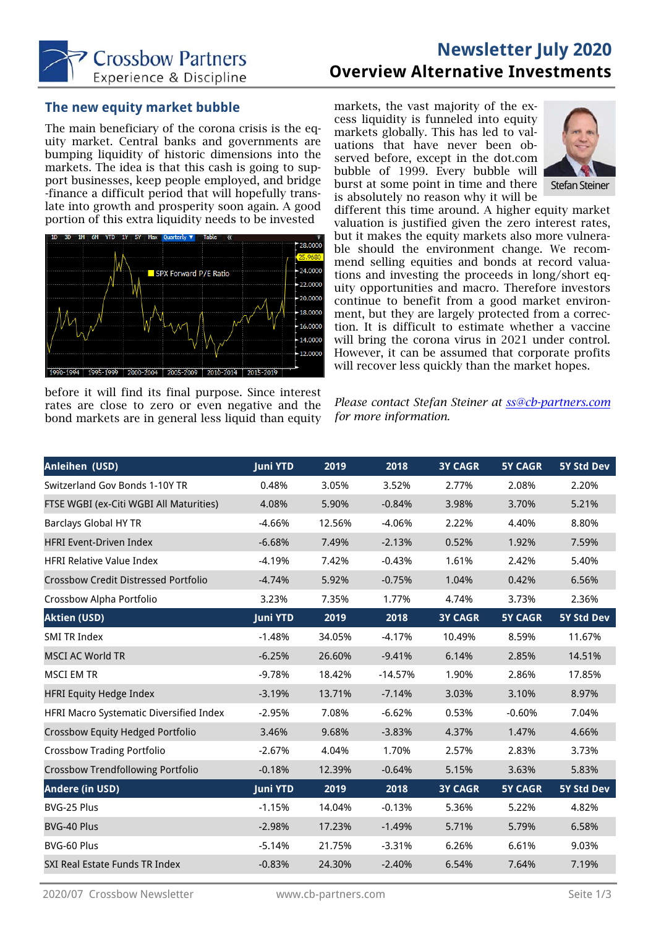

# **Newsletter July 2020 Overview Alternative Investments**

## **The new equity market bubble**

The main beneficiary of the corona crisis is the equity market. Central banks and governments are bumping liquidity of historic dimensions into the markets. The idea is that this cash is going to support businesses, keep people employed, and bridge -finance a difficult period that will hopefully translate into growth and prosperity soon again. A good portion of this extra liquidity needs to be invested



before it will find its final purpose. Since interest rates are close to zero or even negative and the bond markets are in general less liquid than equity markets, the vast majority of the excess liquidity is funneled into equity markets globally. This has led to valuations that have never been observed before, except in the dot.com bubble of 1999. Every bubble will burst at some point in time and there is absolutely no reason why it will be



different this time around. A higher equity market valuation is justified given the zero interest rates, but it makes the equity markets also more vulnerable should the environment change. We recommend selling equities and bonds at record valuations and investing the proceeds in long/short equity opportunities and macro. Therefore investors continue to benefit from a good market environment, but they are largely protected from a correction. It is difficult to estimate whether a vaccine will bring the corona virus in 2021 under control. However, it can be assumed that corporate profits will recover less quickly than the market hopes.

*Please contact Stefan Steiner at ss@cb-partners.com for more information.* 

| <b>Anleihen (USD)</b>                       | <b>Juni YTD</b> | 2019   | 2018      | <b>3Y CAGR</b> | <b>5Y CAGR</b> | 5Y Std Dev        |
|---------------------------------------------|-----------------|--------|-----------|----------------|----------------|-------------------|
| Switzerland Gov Bonds 1-10Y TR              | 0.48%           | 3.05%  | 3.52%     | 2.77%          | 2.08%          | 2.20%             |
| FTSE WGBI (ex-Citi WGBI All Maturities)     | 4.08%           | 5.90%  | $-0.84%$  | 3.98%          | 3.70%          | 5.21%             |
| <b>Barclays Global HY TR</b>                | $-4.66%$        | 12.56% | $-4.06%$  | 2.22%          | 4.40%          | 8.80%             |
| <b>HFRI Event-Driven Index</b>              | $-6.68%$        | 7.49%  | $-2.13%$  | 0.52%          | 1.92%          | 7.59%             |
| <b>HFRI Relative Value Index</b>            | $-4.19%$        | 7.42%  | $-0.43%$  | 1.61%          | 2.42%          | 5.40%             |
| <b>Crossbow Credit Distressed Portfolio</b> | $-4.74%$        | 5.92%  | $-0.75%$  | 1.04%          | 0.42%          | 6.56%             |
| Crossbow Alpha Portfolio                    | 3.23%           | 7.35%  | 1.77%     | 4.74%          | 3.73%          | 2.36%             |
| <b>Aktien (USD)</b>                         | <b>Juni YTD</b> | 2019   | 2018      | <b>3Y CAGR</b> | <b>5Y CAGR</b> | <b>5Y Std Dev</b> |
| <b>SMI TR Index</b>                         | $-1.48%$        | 34.05% | $-4.17%$  | 10.49%         | 8.59%          | 11.67%            |
| <b>MSCI AC World TR</b>                     | $-6.25%$        | 26.60% | $-9.41%$  | 6.14%          | 2.85%          | 14.51%            |
| MSCI EM TR                                  | $-9.78%$        | 18.42% | $-14.57%$ | 1.90%          | 2.86%          | 17.85%            |
| <b>HFRI Equity Hedge Index</b>              | $-3.19%$        | 13.71% | $-7.14%$  | 3.03%          | 3.10%          | 8.97%             |
| HFRI Macro Systematic Diversified Index     | $-2.95%$        | 7.08%  | $-6.62%$  | 0.53%          | $-0.60%$       | 7.04%             |
| Crossbow Equity Hedged Portfolio            | 3.46%           | 9.68%  | $-3.83%$  | 4.37%          | 1.47%          | 4.66%             |
| <b>Crossbow Trading Portfolio</b>           | $-2.67%$        | 4.04%  | 1.70%     | 2.57%          | 2.83%          | 3.73%             |
| <b>Crossbow Trendfollowing Portfolio</b>    | $-0.18%$        | 12.39% | $-0.64%$  | 5.15%          | 3.63%          | 5.83%             |
| <b>Andere (in USD)</b>                      | <b>Juni YTD</b> | 2019   | 2018      | <b>3Y CAGR</b> | <b>5Y CAGR</b> | 5Y Std Dev        |
| BVG-25 Plus                                 | $-1.15%$        | 14.04% | $-0.13%$  | 5.36%          | 5.22%          | 4.82%             |
| BVG-40 Plus                                 | $-2.98%$        | 17.23% | $-1.49%$  | 5.71%          | 5.79%          | 6.58%             |
| BVG-60 Plus                                 | $-5.14%$        | 21.75% | $-3.31%$  | 6.26%          | 6.61%          | 9.03%             |
| SXI Real Estate Funds TR Index              | $-0.83%$        | 24.30% | $-2.40%$  | 6.54%          | 7.64%          | 7.19%             |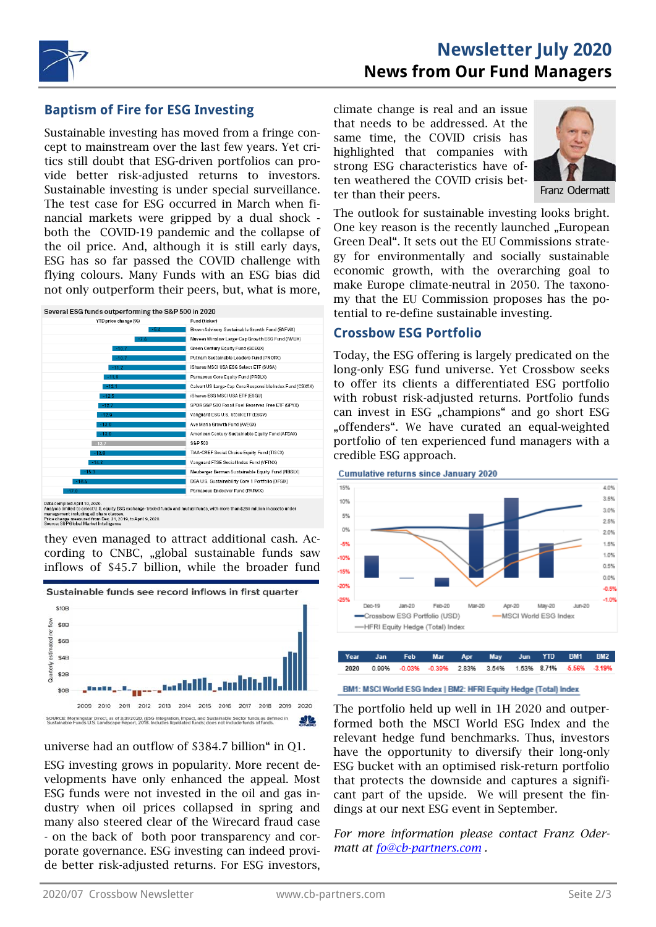

## **Newsletter July 2020 News from Our Fund Managers**

## **Baptism of Fire for ESG Investing**

Sustainable investing has moved from a fringe concept to mainstream over the last few years. Yet critics still doubt that ESG-driven portfolios can provide better risk-adjusted returns to investors. Sustainable investing is under special surveillance. The test case for ESG occurred in March when financial markets were gripped by a dual shock both the COVID-19 pandemic and the collapse of the oil price. And, although it is still early days, ESG has so far passed the COVID challenge with flying colours. Many Funds with an ESG bias did not only outperform their peers, but, what is more,



ata compiled April 10, 2020.<br>halysis limited to select U.S. equity ESG exchange-traded funds and mutual funds, with more than \$250 million in assets under<br>gagagement including all share classes. you university converted and all share classes.<br>agement including all share classes.<br>ce: S&P Global Market Intelligence

they even managed to attract additional cash. According to CNBC, "global sustainable funds saw inflows of \$45.7 billion, while the broader fund



#### universe had an outflow of \$384.7 billion" in Q1.

ESG investing grows in popularity. More recent developments have only enhanced the appeal. Most ESG funds were not invested in the oil and gas industry when oil prices collapsed in spring and many also steered clear of the Wirecard fraud case - on the back of both poor transparency and corporate governance. ESG investing can indeed provide better risk-adjusted returns. For ESG investors, climate change is real and an issue that needs to be addressed. At the same time, the COVID crisis has highlighted that companies with strong ESG characteristics have often weathered the COVID crisis better than their peers.



The outlook for sustainable investing looks bright. One key reason is the recently launched "European Green Deal". It sets out the EU Commissions strategy for environmentally and socially sustainable economic growth, with the overarching goal to make Europe climate-neutral in 2050. The taxonomy that the EU Commission proposes has the potential to re-define sustainable investing.

### **Crossbow ESG Portfolio**

Today, the ESG offering is largely predicated on the long-only ESG fund universe. Yet Crossbow seeks to offer its clients a differentiated ESG portfolio with robust risk-adjusted returns. Portfolio funds can invest in ESG "champions" and go short ESG "offenders". We have curated an equal-weighted portfolio of ten experienced fund managers with a credible ESG approach.





BM1: MSCI World ESG Index | BM2: HFRI Equity Hedge (Total) Index

The portfolio held up well in 1H 2020 and outperformed both the MSCI World ESG Index and the relevant hedge fund benchmarks. Thus, investors have the opportunity to diversify their long-only ESG bucket with an optimised risk-return portfolio that protects the downside and captures a significant part of the upside. We will present the findings at our next ESG event in September.

*For more information please contact Franz Odermatt at fo@cb-partners.com .*